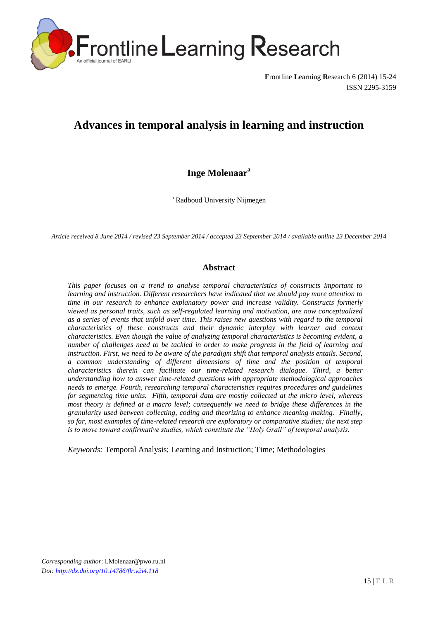

**F**rontline **L**earning **R**esearch 6 (2014) 15-24 ISSN 2295-3159

# **Advances in temporal analysis in learning and instruction**

## **Inge Molenaar a**

<sup>a</sup> Radboud University Nijmegen

*Article received 8 June 2014 / revised 23 September 2014 / accepted 23 September 2014 / available online 23 December 2014*

#### **Abstract**

*This paper focuses on a trend to analyse temporal characteristics of constructs important to learning and instruction. Different researchers have indicated that we should pay more attention to time in our research to enhance explanatory power and increase validity. Constructs formerly viewed as personal traits, such as self-regulated learning and motivation, are now conceptualized as a series of events that unfold over time. This raises new questions with regard to the temporal characteristics of these constructs and their dynamic interplay with learner and context characteristics. Even though the value of analyzing temporal characteristics is becoming evident, a number of challenges need to be tackled in order to make progress in the field of learning and instruction. First, we need to be aware of the paradigm shift that temporal analysis entails. Second, a common understanding of different dimensions of time and the position of temporal characteristics therein can facilitate our time-related research dialogue. Third, a better understanding how to answer time-related questions with appropriate methodological approaches needs to emerge. Fourth, researching temporal characteristics requires procedures and guidelines for segmenting time units. Fifth, temporal data are mostly collected at the micro level, whereas most theory is defined at a macro level; consequently we need to bridge these differences in the granularity used between collecting, coding and theorizing to enhance meaning making. Finally, so far, most examples of time-related research are exploratory or comparative studies; the next step is to move toward confirmative studies, which constitute the "Holy Grail" of temporal analysis.* 

*Keywords:* Temporal Analysis; Learning and Instruction; Time; Methodologies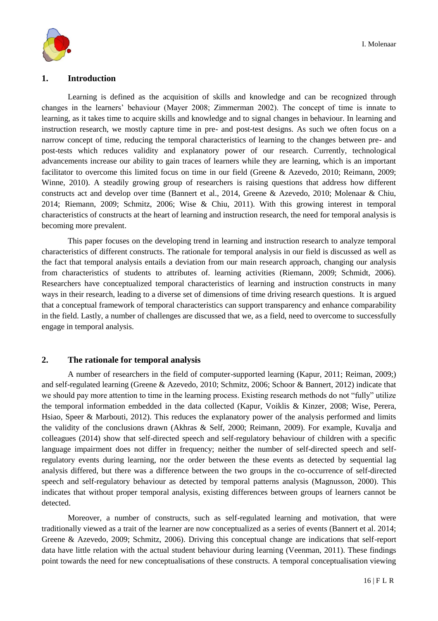

#### **1. Introduction**

Learning is defined as the acquisition of skills and knowledge and can be recognized through changes in the learners' behaviour (Mayer 2008; Zimmerman 2002). The concept of time is innate to learning, as it takes time to acquire skills and knowledge and to signal changes in behaviour. In learning and instruction research, we mostly capture time in pre- and post-test designs. As such we often focus on a narrow concept of time, reducing the temporal characteristics of learning to the changes between pre- and post-tests which reduces validity and explanatory power of our research. Currently, technological advancements increase our ability to gain traces of learners while they are learning, which is an important facilitator to overcome this limited focus on time in our field (Greene & Azevedo, 2010; Reimann, 2009; Winne, 2010). A steadily growing group of researchers is raising questions that address how different constructs act and develop over time (Bannert et al., 2014, Greene & Azevedo, 2010; Molenaar & Chiu, 2014; Riemann, 2009; Schmitz, 2006; Wise & Chiu, 2011). With this growing interest in temporal characteristics of constructs at the heart of learning and instruction research, the need for temporal analysis is becoming more prevalent.

This paper focuses on the developing trend in learning and instruction research to analyze temporal characteristics of different constructs. The rationale for temporal analysis in our field is discussed as well as the fact that temporal analysis entails a deviation from our main research approach, changing our analysis from characteristics of students to attributes of. learning activities (Riemann, 2009; Schmidt, 2006). Researchers have conceptualized temporal characteristics of learning and instruction constructs in many ways in their research, leading to a diverse set of dimensions of time driving research questions. It is argued that a conceptual framework of temporal characteristics can support transparency and enhance comparability in the field. Lastly, a number of challenges are discussed that we, as a field, need to overcome to successfully engage in temporal analysis.

## **2. The rationale for temporal analysis**

A number of researchers in the field of computer-supported learning (Kapur, 2011; Reiman, 2009;) and self-regulated learning (Greene & Azevedo, 2010; Schmitz, 2006; Schoor & Bannert, 2012) indicate that we should pay more attention to time in the learning process. Existing research methods do not "fully" utilize the temporal information embedded in the data collected (Kapur, Voiklis & Kinzer, 2008; Wise, Perera, Hsiao, Speer & Marbouti, 2012). This reduces the explanatory power of the analysis performed and limits the validity of the conclusions drawn (Akhras & Self, 2000; Reimann, 2009). For example, Kuvalja and colleagues (2014) show that self-directed speech and self-regulatory behaviour of children with a specific language impairment does not differ in frequency; neither the number of self-directed speech and selfregulatory events during learning, nor the order between the these events as detected by sequential lag analysis differed, but there was a difference between the two groups in the co-occurrence of self-directed speech and self-regulatory behaviour as detected by temporal patterns analysis (Magnusson, 2000). This indicates that without proper temporal analysis, existing differences between groups of learners cannot be detected.

Moreover, a number of constructs, such as self-regulated learning and motivation, that were traditionally viewed as a trait of the learner are now conceptualized as a series of events (Bannert et al. 2014; Greene & Azevedo, 2009; Schmitz, 2006). Driving this conceptual change are indications that self-report data have little relation with the actual student behaviour during learning (Veenman, 2011). These findings point towards the need for new conceptualisations of these constructs. A temporal conceptualisation viewing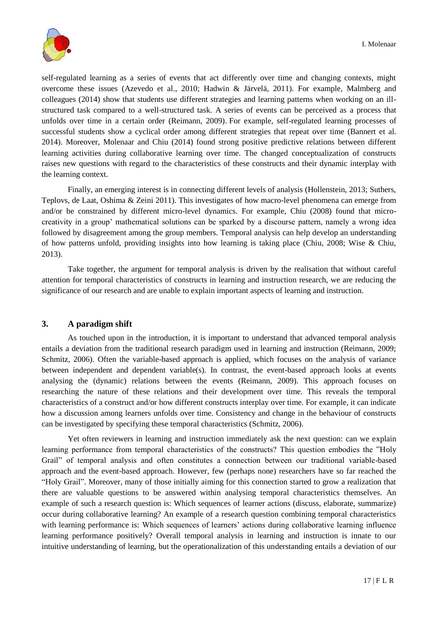

self-regulated learning as a series of events that act differently over time and changing contexts, might overcome these issues (Azevedo et al., 2010; Hadwin & Järvelä, 2011). For example, Malmberg and colleagues (2014) show that students use different strategies and learning patterns when working on an illstructured task compared to a well-structured task. A series of events can be perceived as a process that unfolds over time in a certain order (Reimann, 2009). For example, self-regulated learning processes of successful students show a cyclical order among different strategies that repeat over time (Bannert et al. 2014). Moreover, Molenaar and Chiu (2014) found strong positive predictive relations between different learning activities during collaborative learning over time. The changed conceptualization of constructs raises new questions with regard to the characteristics of these constructs and their dynamic interplay with the learning context.

Finally, an emerging interest is in connecting different levels of analysis (Hollenstein, 2013; Suthers, Teplovs, de Laat, Oshima & Zeini 2011). This investigates of how macro-level phenomena can emerge from and/or be constrained by different micro-level dynamics. For example, Chiu (2008) found that microcreativity in a group' mathematical solutions can be sparked by a discourse pattern, namely a wrong idea followed by disagreement among the group members. Temporal analysis can help develop an understanding of how patterns unfold, providing insights into how learning is taking place (Chiu, 2008; Wise & Chiu, 2013).

Take together, the argument for temporal analysis is driven by the realisation that without careful attention for temporal characteristics of constructs in learning and instruction research, we are reducing the significance of our research and are unable to explain important aspects of learning and instruction.

## **3. A paradigm shift**

As touched upon in the introduction, it is important to understand that advanced temporal analysis entails a deviation from the traditional research paradigm used in learning and instruction (Reimann, 2009; Schmitz, 2006). Often the variable-based approach is applied, which focuses on the analysis of variance between independent and dependent variable(s). In contrast, the event-based approach looks at events analysing the (dynamic) relations between the events (Reimann, 2009). This approach focuses on researching the nature of these relations and their development over time. This reveals the temporal characteristics of a construct and/or how different constructs interplay over time. For example, it can indicate how a discussion among learners unfolds over time. Consistency and change in the behaviour of constructs can be investigated by specifying these temporal characteristics (Schmitz, 2006).

Yet often reviewers in learning and instruction immediately ask the next question: can we explain learning performance from temporal characteristics of the constructs? This question embodies the "Holy Grail" of temporal analysis and often constitutes a connection between our traditional variable-based approach and the event-based approach. However, few (perhaps none) researchers have so far reached the "Holy Grail". Moreover, many of those initially aiming for this connection started to grow a realization that there are valuable questions to be answered within analysing temporal characteristics themselves. An example of such a research question is: Which sequences of learner actions (discuss, elaborate, summarize) occur during collaborative learning? An example of a research question combining temporal characteristics with learning performance is: Which sequences of learners' actions during collaborative learning influence learning performance positively? Overall temporal analysis in learning and instruction is innate to our intuitive understanding of learning, but the operationalization of this understanding entails a deviation of our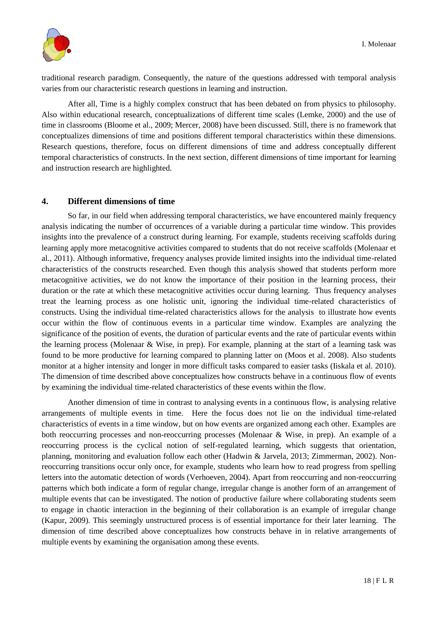

traditional research paradigm. Consequently, the nature of the questions addressed with temporal analysis varies from our characteristic research questions in learning and instruction.

After all, Time is a highly complex construct that has been debated on from physics to philosophy. Also within educational research, conceptualizations of different time scales (Lemke, 2000) and the use of time in classrooms (Bloome et al., 2009; Mercer, 2008) have been discussed. Still, there is no framework that conceptualizes dimensions of time and positions different temporal characteristics within these dimensions. Research questions, therefore, focus on different dimensions of time and address conceptually different temporal characteristics of constructs. In the next section, different dimensions of time important for learning and instruction research are highlighted.

## **4. Different dimensions of time**

So far, in our field when addressing temporal characteristics, we have encountered mainly frequency analysis indicating the number of occurrences of a variable during a particular time window. This provides insights into the prevalence of a construct during learning. For example, students receiving scaffolds during learning apply more metacognitive activities compared to students that do not receive scaffolds (Molenaar et al., 2011). Although informative, frequency analyses provide limited insights into the individual time-related characteristics of the constructs researched. Even though this analysis showed that students perform more metacognitive activities, we do not know the importance of their position in the learning process, their duration or the rate at which these metacognitive activities occur during learning. Thus frequency analyses treat the learning process as one holistic unit, ignoring the individual time-related characteristics of constructs. Using the individual time-related characteristics allows for the analysis to illustrate how events occur within the flow of continuous events in a particular time window. Examples are analyzing the significance of the position of events, the duration of particular events and the rate of particular events within the learning process (Molenaar & Wise, in prep). For example, planning at the start of a learning task was found to be more productive for learning compared to planning latter on (Moos et al. 2008). Also students monitor at a higher intensity and longer in more difficult tasks compared to easier tasks (Iiskala et al. 2010). The dimension of time described above conceptualizes how constructs behave in a continuous flow of events by examining the individual time-related characteristics of these events within the flow.

Another dimension of time in contrast to analysing events in a continuous flow, is analysing relative arrangements of multiple events in time. Here the focus does not lie on the individual time-related characteristics of events in a time window, but on how events are organized among each other. Examples are both reoccurring processes and non-reoccurring processes (Molenaar & Wise, in prep). An example of a reoccurring process is the cyclical notion of self-regulated learning, which suggests that orientation, planning, monitoring and evaluation follow each other (Hadwin & Jarvela, 2013; Zimmerman, 2002). Nonreoccurring transitions occur only once, for example, students who learn how to read progress from spelling letters into the automatic detection of words (Verhoeven, 2004). Apart from reoccurring and non-reoccurring patterns which both indicate a form of regular change, irregular change is another form of an arrangement of multiple events that can be investigated. The notion of productive failure where collaborating students seem to engage in chaotic interaction in the beginning of their collaboration is an example of irregular change (Kapur, 2009). This seemingly unstructured process is of essential importance for their later learning. The dimension of time described above conceptualizes how constructs behave in in relative arrangements of multiple events by examining the organisation among these events.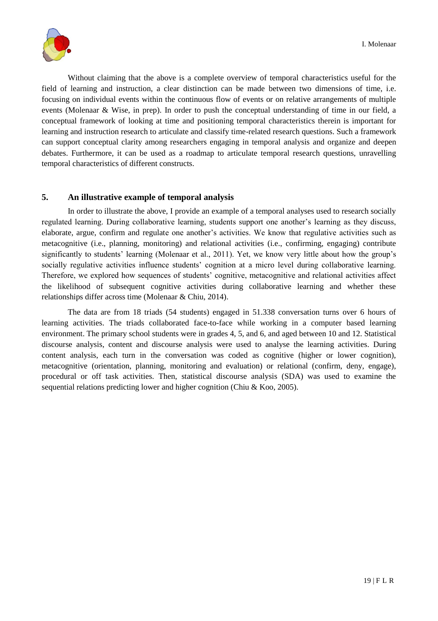

Without claiming that the above is a complete overview of temporal characteristics useful for the field of learning and instruction, a clear distinction can be made between two dimensions of time, i.e. focusing on individual events within the continuous flow of events or on relative arrangements of multiple events (Molenaar & Wise, in prep). In order to push the conceptual understanding of time in our field, a conceptual framework of looking at time and positioning temporal characteristics therein is important for learning and instruction research to articulate and classify time-related research questions. Such a framework can support conceptual clarity among researchers engaging in temporal analysis and organize and deepen debates. Furthermore, it can be used as a roadmap to articulate temporal research questions, unravelling temporal characteristics of different constructs.

## **5. An illustrative example of temporal analysis**

In order to illustrate the above, I provide an example of a temporal analyses used to research socially regulated learning. During collaborative learning, students support one another's learning as they discuss, elaborate, argue, confirm and regulate one another's activities. We know that regulative activities such as metacognitive (i.e., planning, monitoring) and relational activities (i.e., confirming, engaging) contribute significantly to students' learning (Molenaar et al., 2011). Yet, we know very little about how the group's socially regulative activities influence students' cognition at a micro level during collaborative learning. Therefore, we explored how sequences of students' cognitive, metacognitive and relational activities affect the likelihood of subsequent cognitive activities during collaborative learning and whether these relationships differ across time (Molenaar & Chiu, 2014).

The data are from 18 triads (54 students) engaged in 51.338 conversation turns over 6 hours of learning activities. The triads collaborated face-to-face while working in a computer based learning environment. The primary school students were in grades 4, 5, and 6, and aged between 10 and 12. Statistical discourse analysis, content and discourse analysis were used to analyse the learning activities. During content analysis, each turn in the conversation was coded as cognitive (higher or lower cognition), metacognitive (orientation, planning, monitoring and evaluation) or relational (confirm, deny, engage), procedural or off task activities. Then, statistical discourse analysis (SDA) was used to examine the sequential relations predicting lower and higher cognition (Chiu & Koo, 2005).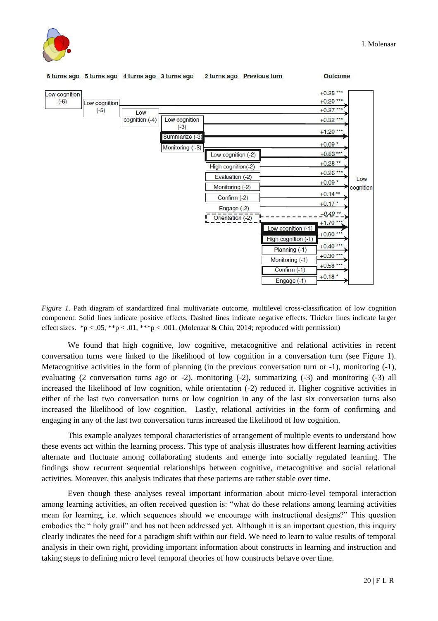



*Figure 1.* Path diagram of standardized final multivariate outcome, multilevel cross-classification of low cognition component. Solid lines indicate positive effects. Dashed lines indicate negative effects. Thicker lines indicate larger effect sizes. \*p < .05, \*\*p < .01, \*\*\*p < .001. (Molenaar & Chiu, 2014; reproduced with permission)

We found that high cognitive, low cognitive, metacognitive and relational activities in recent conversation turns were linked to the likelihood of low cognition in a conversation turn (see Figure 1). Metacognitive activities in the form of planning (in the previous conversation turn or -1), monitoring (-1), evaluating (2 conversation turns ago or -2), monitoring (-2), summarizing (-3) and monitoring (-3) all increased the likelihood of low cognition, while orientation (-2) reduced it. Higher cognitive activities in either of the last two conversation turns or low cognition in any of the last six conversation turns also increased the likelihood of low cognition. Lastly, relational activities in the form of confirming and engaging in any of the last two conversation turns increased the likelihood of low cognition.

This example analyzes temporal characteristics of arrangement of multiple events to understand how these events act within the learning process. This type of analysis illustrates how different learning activities alternate and fluctuate among collaborating students and emerge into socially regulated learning. The findings show recurrent sequential relationships between cognitive, metacognitive and social relational activities. Moreover, this analysis indicates that these patterns are rather stable over time.

Even though these analyses reveal important information about micro-level temporal interaction among learning activities, an often received question is: "what do these relations among learning activities mean for learning, i.e. which sequences should we encourage with instructional designs?" This question embodies the " holy grail" and has not been addressed yet. Although it is an important question, this inquiry clearly indicates the need for a paradigm shift within our field. We need to learn to value results of temporal analysis in their own right, providing important information about constructs in learning and instruction and taking steps to defining micro level temporal theories of how constructs behave over time.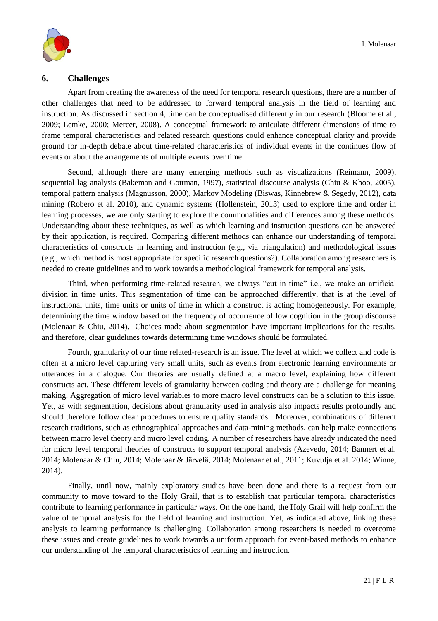

#### **6. Challenges**

Apart from creating the awareness of the need for temporal research questions, there are a number of other challenges that need to be addressed to forward temporal analysis in the field of learning and instruction. As discussed in section 4, time can be conceptualised differently in our research (Bloome et al., 2009; Lemke, 2000; Mercer, 2008). A conceptual framework to articulate different dimensions of time to frame temporal characteristics and related research questions could enhance conceptual clarity and provide ground for in-depth debate about time-related characteristics of individual events in the continues flow of events or about the arrangements of multiple events over time.

Second, although there are many emerging methods such as visualizations (Reimann, 2009), sequential lag analysis (Bakeman and Gottman, 1997), statistical discourse analysis (Chiu & Khoo, 2005), temporal pattern analysis (Magnusson, 2000), Markov Modeling (Biswas, Kinnebrew & Segedy, 2012), data mining (Robero et al. 2010), and dynamic systems (Hollenstein, 2013) used to explore time and order in learning processes, we are only starting to explore the commonalities and differences among these methods. Understanding about these techniques, as well as which learning and instruction questions can be answered by their application, is required. Comparing different methods can enhance our understanding of temporal characteristics of constructs in learning and instruction (e.g., via triangulation) and methodological issues (e.g., which method is most appropriate for specific research questions?). Collaboration among researchers is needed to create guidelines and to work towards a methodological framework for temporal analysis.

Third, when performing time-related research, we always "cut in time" i.e., we make an artificial division in time units. This segmentation of time can be approached differently, that is at the level of instructional units, time units or units of time in which a construct is acting homogeneously. For example, determining the time window based on the frequency of occurrence of low cognition in the group discourse (Molenaar & Chiu, 2014). Choices made about segmentation have important implications for the results, and therefore, clear guidelines towards determining time windows should be formulated.

Fourth, granularity of our time related-research is an issue. The level at which we collect and code is often at a micro level capturing very small units, such as events from electronic learning environments or utterances in a dialogue. Our theories are usually defined at a macro level, explaining how different constructs act. These different levels of granularity between coding and theory are a challenge for meaning making. Aggregation of micro level variables to more macro level constructs can be a solution to this issue. Yet, as with segmentation, decisions about granularity used in analysis also impacts results profoundly and should therefore follow clear procedures to ensure quality standards. Moreover, combinations of different research traditions, such as ethnographical approaches and data-mining methods, can help make connections between macro level theory and micro level coding. A number of researchers have already indicated the need for micro level temporal theories of constructs to support temporal analysis (Azevedo, 2014; Bannert et al. 2014; Molenaar & Chiu, 2014; Molenaar & Järvelä, 2014; Molenaar et al., 2011; Kuvulja et al. 2014; Winne, 2014).

Finally, until now, mainly exploratory studies have been done and there is a request from our community to move toward to the Holy Grail, that is to establish that particular temporal characteristics contribute to learning performance in particular ways. On the one hand, the Holy Grail will help confirm the value of temporal analysis for the field of learning and instruction. Yet, as indicated above, linking these analysis to learning performance is challenging. Collaboration among researchers is needed to overcome these issues and create guidelines to work towards a uniform approach for event-based methods to enhance our understanding of the temporal characteristics of learning and instruction.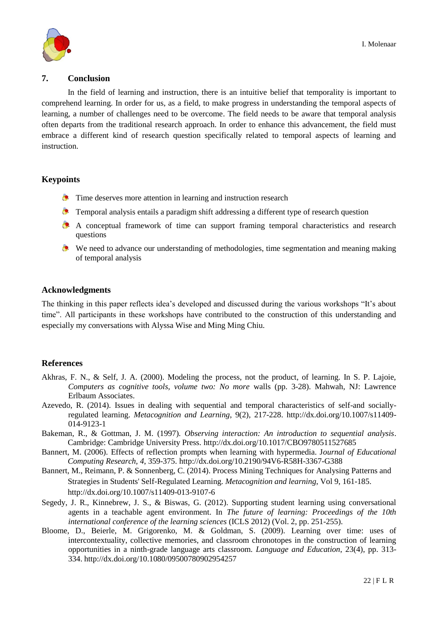

#### **7. Conclusion**

In the field of learning and instruction, there is an intuitive belief that temporality is important to comprehend learning. In order for us, as a field, to make progress in understanding the temporal aspects of learning, a number of challenges need to be overcome. The field needs to be aware that temporal analysis often departs from the traditional research approach. In order to enhance this advancement, the field must embrace a different kind of research question specifically related to temporal aspects of learning and instruction.

## **Keypoints**

- **Time deserves more attention in learning and instruction research**
- **Temporal analysis entails a paradigm shift addressing a different type of research question**
- A conceptual framework of time can support framing temporal characteristics and research questions
- We need to advance our understanding of methodologies, time segmentation and meaning making of temporal analysis

## **Acknowledgments**

The thinking in this paper reflects idea's developed and discussed during the various workshops "It's about time". All participants in these workshops have contributed to the construction of this understanding and especially my conversations with Alyssa Wise and Ming Ming Chiu.

#### **References**

- Akhras, F. N., & Self, J. A. (2000). Modeling the process, not the product, of learning. In S. P. Lajoie, *Computers as cognitive tools, volume two: No more* walls (pp. 3-28). Mahwah, NJ: Lawrence Erlbaum Associates.
- Azevedo, R. (2014). Issues in dealing with sequential and temporal characteristics of self-and sociallyregulated learning. *Metacognition and Learning*, 9(2), 217-228. http://dx.doi.org/10.1007/s11409- 014-9123-1
- Bakeman, R., & Gottman, J. M. (1997). *Observing interaction: An introduction to sequential analysis*. Cambridge: Cambridge University Press. http://dx.doi.org/10.1017/CBO9780511527685
- Bannert, M. (2006). Effects of reflection prompts when learning with hypermedia. J*ournal of Educational Computing Research, 4*, 359-375. http://dx.doi.org/10.2190/94V6-R58H-3367-G388
- Bannert, M., Reimann, P. & Sonnenberg, C. (2014). Process Mining Techniques for Analysing Patterns and Strategies in Students' Self-Regulated Learning. *Metacognition and learning*, Vol 9, 161-185. http://dx.doi.org/10.1007/s11409-013-9107-6
- Segedy, J. R., Kinnebrew, J. S., & Biswas, G. (2012). Supporting student learning using conversational agents in a teachable agent environment. In *The future of learning: Proceedings of the 10th international conference of the learning sciences* (ICLS 2012) (Vol. 2, pp. 251-255).
- Bloome, D., Beierle, M. Grigorenko, M. & Goldman, S. (2009). Learning over time: uses of intercontextuality, collective memories, and classroom chronotopes in the construction of learning opportunities in a ninth-grade language arts classroom. *Language and Education*, 23(4), pp. 313- 334. http://dx.doi.org/10.1080/09500780902954257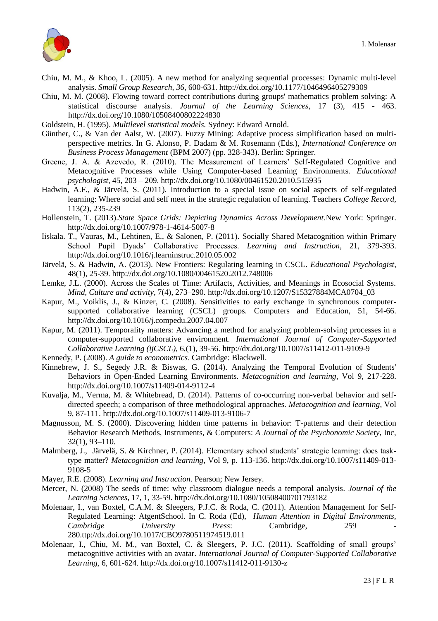

- Chiu, M. M., & Khoo, L. (2005). A new method for analyzing sequential processes: Dynamic multi-level analysis. *Small Group Research, 36,* 600-631. http://dx.doi.org/10.1177/1046496405279309
- Chiu, M. M. (2008). Flowing toward correct contributions during groups' mathematics problem solving: A statistical discourse analysis. *Journal of the Learning Sciences*, 17 (3), 415 - 463. http://dx.doi.org/10.1080/10508400802224830

Goldstein, H. (1995). *Multilevel statistical models.* Sydney: Edward Arnold.

- Günther, C., & Van der Aalst, W. (2007). Fuzzy Mining: Adaptive process simplification based on multiperspective metrics. In G. Alonso, P. Dadam & M. Rosemann (Eds.), *International Conference on Business Process Management* (BPM 2007) (pp. 328-343). Berlin: Springer.
- Greene, J. A. & Azevedo, R. (2010). The Measurement of Learners' Self-Regulated Cognitive and Metacognitive Processes while Using Computer-based Learning Environments*. Educational psychologist*, 45, 203 – 209. http://dx.doi.org/10.1080/00461520.2010.515935
- Hadwin, A.F., & Järvelä, S. (2011). Introduction to a special issue on social aspects of self-regulated learning: Where social and self meet in the strategic regulation of learning. Teachers *College Record,* 113(2), 235-239
- Hollenstein, T. (2013).*State Space Grids: Depicting Dynamics Across Development*.New York: Springer. http://dx.doi.org/10.1007/978-1-4614-5007-8
- Iiskala. T., Vauras, M., Lehtinen, E., & Salonen, P. (2011). Socially Shared Metacognition within Primary School Pupil Dyads' Collaborative Processes. *Learning and Instruction*, 21, 379-393. http://dx.doi.org/10.1016/j.learninstruc.2010.05.002
- Järvelä, S. & Hadwin, A. (2013). New Frontiers: Regulating learning in CSCL. *Educational Psychologist*, 48(1), 25-39. http://dx.doi.org/10.1080/00461520.2012.748006
- Lemke, J.L. (2000). Across the Scales of Time: Artifacts, Activities, and Meanings in Ecosocial Systems. *Mind, Culture and activity,* 7(4), 273–290. http://dx.doi.org/10.1207/S15327884MCA0704\_03
- Kapur, M., Voiklis, J., & Kinzer, C. (2008). Sensitivities to early exchange in synchronous computersupported collaborative learning (CSCL) groups. Computers and Education, 51, 54-66. http://dx.doi.org/10.1016/j.compedu.2007.04.007
- Kapur, M. (2011). Temporality matters: Advancing a method for analyzing problem-solving processes in a computer-supported collaborative environment. *International Journal of Computer-Supported Collaborative Learning (ijCSCL)*, 6,(1), 39-56. http://dx.doi.org/10.1007/s11412-011-9109-9
- Kennedy, P. (2008). *A guide to econometrics*. Cambridge: Blackwell.
- Kinnebrew, J. S., Segedy J.R. & Biswas, G. (2014). Analyzing the Temporal Evolution of Students' Behaviors in Open-Ended Learning Environments*. Metacognition and learning*, Vol 9, 217-228. http://dx.doi.org/10.1007/s11409-014-9112-4
- Kuvalja, M., Verma, M. & Whitebread, D. (2014). Patterns of co-occurring non-verbal behavior and selfdirected speech; a comparison of three methodological approaches. *Metacognition and learning*, Vol 9, 87-111. http://dx.doi.org/10.1007/s11409-013-9106-7
- Magnusson, M. S. (2000). Discovering hidden time patterns in behavior: T-patterns and their detection Behavior Research Methods, Instruments, & Computers: *A Journal of the Psychonomic Society*, Inc, 32(1), 93–110.
- Malmberg, J., Järvelä, S. & Kirchner, P. (2014). Elementary school students' strategic learning: does tasktype matter? *Metacognition and learning*, Vol 9, p. 113-136. http://dx.doi.org/10.1007/s11409-013- 9108-5
- Mayer, R.E. (2008). *Learning and Instruction*. Pearson; New Jersey.
- Mercer, N. (2008) The seeds of time: why classroom dialogue needs a temporal analysis*. Journal of the Learning Sciences*, 17, 1, 33-59. http://dx.doi.org/10.1080/10508400701793182
- Molenaar, I., van Boxtel, C.A.M. & Sleegers, P.J.C. & Roda, C. (2011). Attention Management for Self-Regulated Learning: AtgentSchool. In C. Roda (Ed), *Human Attention in Digital Environments, Cambridge University Press:* Cambridge, 259 280.ttp://dx.doi.org/10.1017/CBO9780511974519.011
- Molenaar, I., Chiu, M. M., van Boxtel, C. & Sleegers, P. J.C. (2011). Scaffolding of small groups' metacognitive activities with an avatar. *International Journal of Computer-Supported Collaborative Learning,* 6, 601-624. http://dx.doi.org/10.1007/s11412-011-9130-z